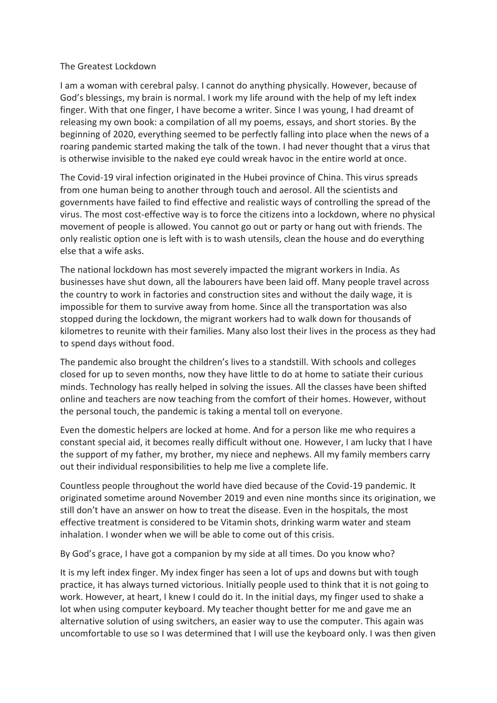## The Greatest Lockdown

I am a woman with cerebral palsy. I cannot do anything physically. However, because of God's blessings, my brain is normal. I work my life around with the help of my left index finger. With that one finger, I have become a writer. Since I was young, I had dreamt of releasing my own book: a compilation of all my poems, essays, and short stories. By the beginning of 2020, everything seemed to be perfectly falling into place when the news of a roaring pandemic started making the talk of the town. I had never thought that a virus that is otherwise invisible to the naked eye could wreak havoc in the entire world at once.

The Covid-19 viral infection originated in the Hubei province of China. This virus spreads from one human being to another through touch and aerosol. All the scientists and governments have failed to find effective and realistic ways of controlling the spread of the virus. The most cost-effective way is to force the citizens into a lockdown, where no physical movement of people is allowed. You cannot go out or party or hang out with friends. The only realistic option one is left with is to wash utensils, clean the house and do everything else that a wife asks.

The national lockdown has most severely impacted the migrant workers in India. As businesses have shut down, all the labourers have been laid off. Many people travel across the country to work in factories and construction sites and without the daily wage, it is impossible for them to survive away from home. Since all the transportation was also stopped during the lockdown, the migrant workers had to walk down for thousands of kilometres to reunite with their families. Many also lost their lives in the process as they had to spend days without food.

The pandemic also brought the children's lives to a standstill. With schools and colleges closed for up to seven months, now they have little to do at home to satiate their curious minds. Technology has really helped in solving the issues. All the classes have been shifted online and teachers are now teaching from the comfort of their homes. However, without the personal touch, the pandemic is taking a mental toll on everyone.

Even the domestic helpers are locked at home. And for a person like me who requires a constant special aid, it becomes really difficult without one. However, I am lucky that I have the support of my father, my brother, my niece and nephews. All my family members carry out their individual responsibilities to help me live a complete life.

Countless people throughout the world have died because of the Covid-19 pandemic. It originated sometime around November 2019 and even nine months since its origination, we still don't have an answer on how to treat the disease. Even in the hospitals, the most effective treatment is considered to be Vitamin shots, drinking warm water and steam inhalation. I wonder when we will be able to come out of this crisis.

By God's grace, I have got a companion by my side at all times. Do you know who?

It is my left index finger. My index finger has seen a lot of ups and downs but with tough practice, it has always turned victorious. Initially people used to think that it is not going to work. However, at heart, I knew I could do it. In the initial days, my finger used to shake a lot when using computer keyboard. My teacher thought better for me and gave me an alternative solution of using switchers, an easier way to use the computer. This again was uncomfortable to use so I was determined that I will use the keyboard only. I was then given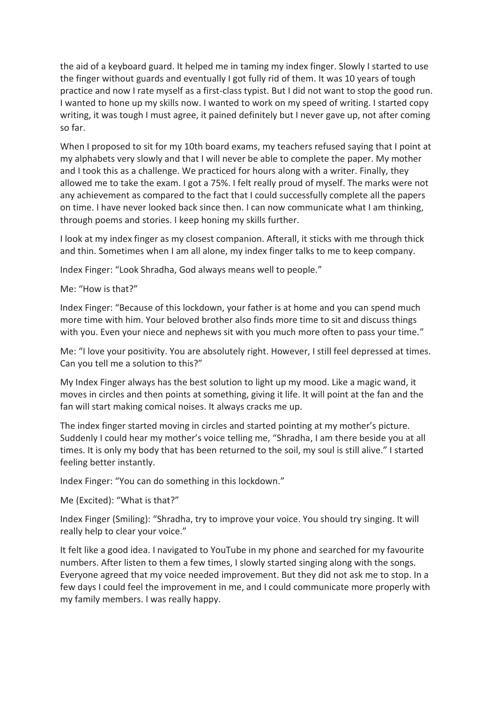the aid of a keyboard guard. It helped me in taming my index finger. Slowly I started to use the finger without guards and eventually I got fully rid of them. It was 10 years of tough practice and now I rate myself as a first-class typist. But I did not want to stop the good run. I wanted to hone up my skills now. I wanted to work on my speed of writing. I started copy writing, it was tough I must agree, it pained definitely but I never gave up, not after coming so far.

When I proposed to sit for my 10th board exams, my teachers refused saying that I point at my alphabets very slowly and that I will never be able to complete the paper. My mother and I took this as a challenge. We practiced for hours along with a writer. Finally, they allowed me to take the exam. I got a 75%. I felt really proud of myself. The marks were not any achievement as compared to the fact that I could successfully complete all the papers on time. I have never looked back since then. I can now communicate what I am thinking, through poems and stories. I keep honing my skills further.

I look at my index finger as my closest companion. Afterall, it sticks with me through thick and thin. Sometimes when I am all alone, my index finger talks to me to keep company.

Index Finger: "Look Shradha, God always means well to people."

Me: "How is that?"

Index Finger: "Because of this lockdown, your father is at home and you can spend much more time with him. Your beloved brother also finds more time to sit and discuss things with you. Even your niece and nephews sit with you much more often to pass your time."

Me: "I love your positivity. You are absolutely right. However, I still feel depressed at times. Can you tell me a solution to this?"

My Index Finger always has the best solution to light up my mood. Like a magic wand, it moves in circles and then points at something, giving it life. It will point at the fan and the fan will start making comical noises. It always cracks me up.

The index finger started moving in circles and started pointing at my mother's picture. Suddenly I could hear my mother's voice telling me, "Shradha, I am there beside you at all times. It is only my body that has been returned to the soil, my soul is still alive." I started feeling better instantly.

Index Finger: "You can do something in this lockdown."

Me (Excited): "What is that?"

Index Finger (Smiling): "Shradha, try to improve your voice. You should try singing. It will really help to clear your voice."

It felt like a good idea. I navigated to YouTube in my phone and searched for my favourite numbers. After listen to them a few times, I slowly started singing along with the songs. Everyone agreed that my voice needed improvement. But they did not ask me to stop. In a few days I could feel the improvement in me, and I could communicate more properly with my family members. I was really happy.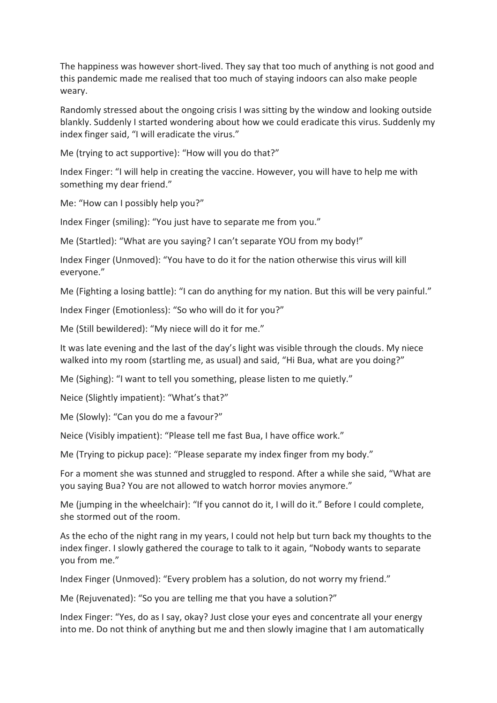The happiness was however short-lived. They say that too much of anything is not good and this pandemic made me realised that too much of staying indoors can also make people weary.

Randomly stressed about the ongoing crisis I was sitting by the window and looking outside blankly. Suddenly I started wondering about how we could eradicate this virus. Suddenly my index finger said, "I will eradicate the virus."

Me (trying to act supportive): "How will you do that?"

Index Finger: "I will help in creating the vaccine. However, you will have to help me with something my dear friend."

Me: "How can I possibly help you?"

Index Finger (smiling): "You just have to separate me from you."

Me (Startled): "What are you saying? I can't separate YOU from my body!"

Index Finger (Unmoved): "You have to do it for the nation otherwise this virus will kill everyone."

Me (Fighting a losing battle): "I can do anything for my nation. But this will be very painful."

Index Finger (Emotionless): "So who will do it for you?"

Me (Still bewildered): "My niece will do it for me."

It was late evening and the last of the day's light was visible through the clouds. My niece walked into my room (startling me, as usual) and said, "Hi Bua, what are you doing?"

Me (Sighing): "I want to tell you something, please listen to me quietly."

Neice (Slightly impatient): "What's that?"

Me (Slowly): "Can you do me a favour?"

Neice (Visibly impatient): "Please tell me fast Bua, I have office work."

Me (Trying to pickup pace): "Please separate my index finger from my body."

For a moment she was stunned and struggled to respond. After a while she said, "What are you saying Bua? You are not allowed to watch horror movies anymore."

Me (jumping in the wheelchair): "If you cannot do it, I will do it." Before I could complete, she stormed out of the room.

As the echo of the night rang in my years, I could not help but turn back my thoughts to the index finger. I slowly gathered the courage to talk to it again, "Nobody wants to separate you from me."

Index Finger (Unmoved): "Every problem has a solution, do not worry my friend."

Me (Rejuvenated): "So you are telling me that you have a solution?"

Index Finger: "Yes, do as I say, okay? Just close your eyes and concentrate all your energy into me. Do not think of anything but me and then slowly imagine that I am automatically